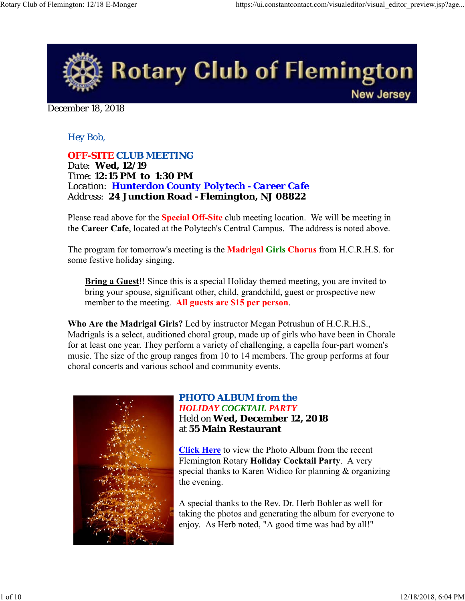

December 18, 2018

# *Hey Bob,*

*OFF-SITE CLUB MEETING Date: Wed, 12/19 Time: 12:15 PM to 1:30 PM Location: Hunterdon County Polytech - Career Cafe Address: 24 Junction Road - Flemington, NJ 08822*

Please read above for the **Special Off-Site** club meeting location. We will be meeting in the **Career Cafe**, located at the Polytech's Central Campus. The address is noted above.

The program for tomorrow's meeting is the **Madrigal Girls Chorus** from H.C.R.H.S. for some festive holiday singing.

**Bring a Guest**!! Since this is a special Holiday themed meeting, you are invited to bring your spouse, significant other, child, grandchild, guest or prospective new member to the meeting. **All guests are \$15 per person**.

**Who Are the Madrigal Girls?** Led by instructor Megan Petrushun of H.C.R.H.S., Madrigals is a select, auditioned choral group, made up of girls who have been in Chorale for at least one year. They perform a variety of challenging, a capella four-part women's music. The size of the group ranges from 10 to 14 members. The group performs at four choral concerts and various school and community events.



# *PHOTO ALBUM from the*

*HOLIDAY COCKTAIL PARTY* Held on **Wed, December 12, 2018** at **55 Main Restaurant**

**Click Here** to view the Photo Album from the recent Flemington Rotary **Holiday Cocktail Party**. A very special thanks to Karen Widico for planning & organizing the evening.

A special thanks to the Rev. Dr. Herb Bohler as well for taking the photos and generating the album for everyone to enjoy. As Herb noted, "A good time was had by all!"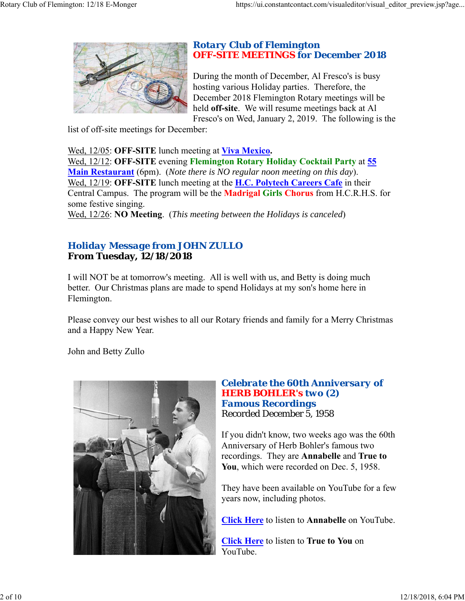

### *Rotary Club of Flemington OFF-SITE MEETINGS for December 2018*

During the month of December, Al Fresco's is busy hosting various Holiday parties. Therefore, the December 2018 Flemington Rotary meetings will be held **off-site**. We will resume meetings back at Al Fresco's on Wed, January 2, 2019. The following is the

list of off-site meetings for December:

Wed, 12/05: **OFF-SITE** lunch meeting at **Viva Mexico.**

Wed, 12/12: **OFF-SITE** evening **Flemington Rotary Holiday Cocktail Party** at **55 Main Restaurant** (6pm). (*Note there is NO regular noon meeting on this day*). Wed, 12/19: **OFF-SITE** lunch meeting at the **H.C. Polytech Careers Cafe** in their Central Campus. The program will be the **Madrigal Girls Chorus** from H.C.R.H.S. for some festive singing.

Wed, 12/26: **NO Meeting**. (*This meeting between the Holidays is canceled*)

# *Holiday Message from JOHN ZULLO* **From Tuesday, 12/18/2018**

I will NOT be at tomorrow's meeting. All is well with us, and Betty is doing much better. Our Christmas plans are made to spend Holidays at my son's home here in Flemington.

Please convey our best wishes to all our Rotary friends and family for a Merry Christmas and a Happy New Year.

John and Betty Zullo



### *Celebrate the 60th Anniversary of HERB BOHLER's two (2) Famous Recordings* Recorded December 5, 1958

If you didn't know, two weeks ago was the 60th Anniversary of Herb Bohler's famous two recordings. They are **Annabelle** and **True to You**, which were recorded on Dec. 5, 1958.

They have been available on YouTube for a few years now, including photos.

**Click Here** to listen to **Annabelle** on YouTube.

**Click Here** to listen to **True to You** on YouTube.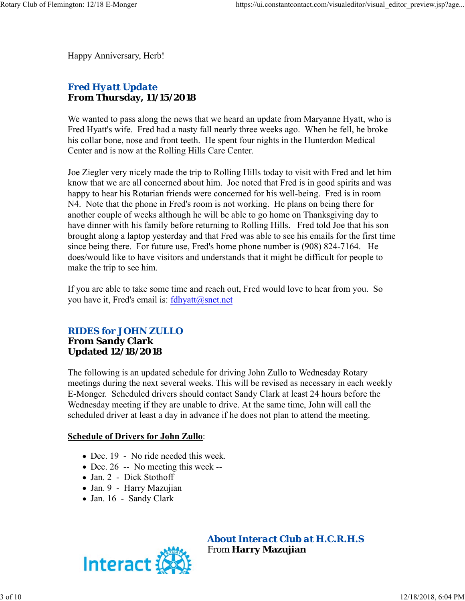Happy Anniversary, Herb!

# *Fred Hyatt Update* **From Thursday, 11/15/2018**

We wanted to pass along the news that we heard an update from Maryanne Hyatt, who is Fred Hyatt's wife. Fred had a nasty fall nearly three weeks ago. When he fell, he broke his collar bone, nose and front teeth. He spent four nights in the Hunterdon Medical Center and is now at the Rolling Hills Care Center.

Joe Ziegler very nicely made the trip to Rolling Hills today to visit with Fred and let him know that we are all concerned about him. Joe noted that Fred is in good spirits and was happy to hear his Rotarian friends were concerned for his well-being. Fred is in room N4. Note that the phone in Fred's room is not working. He plans on being there for another couple of weeks although he will be able to go home on Thanksgiving day to have dinner with his family before returning to Rolling Hills. Fred told Joe that his son brought along a laptop yesterday and that Fred was able to see his emails for the first time since being there. For future use, Fred's home phone number is (908) 824-7164. He does/would like to have visitors and understands that it might be difficult for people to make the trip to see him.

If you are able to take some time and reach out, Fred would love to hear from you. So you have it, Fred's email is: fdhyatt@snet.net

## *RIDES for JOHN ZULLO* **From Sandy Clark Updated 12/18/2018**

The following is an updated schedule for driving John Zullo to Wednesday Rotary meetings during the next several weeks. This will be revised as necessary in each weekly E-Monger. Scheduled drivers should contact Sandy Clark at least 24 hours before the Wednesday meeting if they are unable to drive. At the same time, John will call the scheduled driver at least a day in advance if he does not plan to attend the meeting.

### **Schedule of Drivers for John Zullo**:

- Dec. 19 No ride needed this week.
- Dec. 26 -- No meeting this week --
- Jan. 2 Dick Stothoff
- Jan. 9 Harry Mazujian
- Jan. 16 Sandy Clark



*About Interact Club at H.C.R.H.S* From **Harry Mazujian**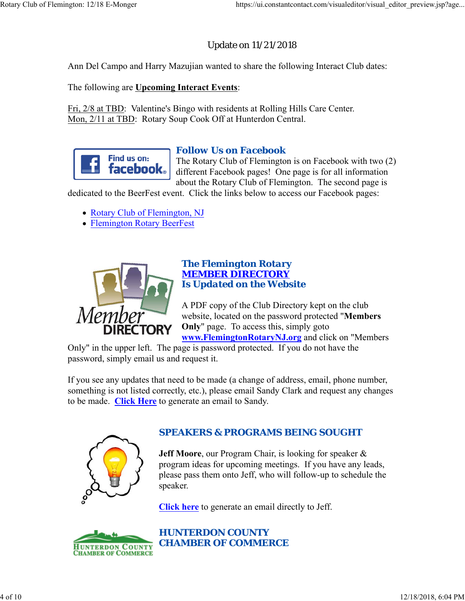# Update on 11/21/2018

Ann Del Campo and Harry Mazujian wanted to share the following Interact Club dates:

The following are **Upcoming Interact Events**:

Fri, 2/8 at TBD: Valentine's Bingo with residents at Rolling Hills Care Center. Mon, 2/11 at TBD: Rotary Soup Cook Off at Hunterdon Central.



# *Follow Us on Facebook*

The Rotary Club of Flemington is on Facebook with two (2) different Facebook pages! One page is for all information about the Rotary Club of Flemington. The second page is

dedicated to the BeerFest event. Click the links below to access our Facebook pages:

- Rotary Club of Flemington, NJ
- Flemington Rotary BeerFest



### *The Flemington Rotary MEMBER DIRECTORY Is Updated on the Website*

A PDF copy of the Club Directory kept on the club website, located on the password protected "**Members Only**" page. To access this, simply goto

**www.FlemingtonRotaryNJ.org** and click on "Members

Only" in the upper left. The page is password protected. If you do not have the password, simply email us and request it.

If you see any updates that need to be made (a change of address, email, phone number, something is not listed correctly, etc.), please email Sandy Clark and request any changes to be made. **Click Here** to generate an email to Sandy.



# *SPEAKERS & PROGRAMS BEING SOUGHT*

**Jeff Moore**, our Program Chair, is looking for speaker & program ideas for upcoming meetings. If you have any leads, please pass them onto Jeff, who will follow-up to schedule the speaker.

**Click here** to generate an email directly to Jeff.



*HUNTERDON COUNTY CHAMBER OF COMMERCE*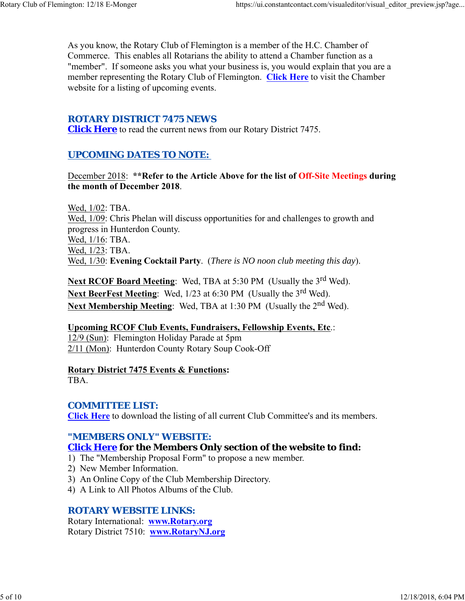As you know, the Rotary Club of Flemington is a member of the H.C. Chamber of Commerce. This enables all Rotarians the ability to attend a Chamber function as a "member". If someone asks you what your business is, you would explain that you are a member representing the Rotary Club of Flemington. **Click Here** to visit the Chamber website for a listing of upcoming events.

# *ROTARY DISTRICT 7475 NEWS*

**Click Here** to read the current news from our Rotary District 7475.

# *UPCOMING DATES TO NOTE:*

December 2018: **\*\*Refer to the Article Above for the list of Off-Site Meetings during the month of December 2018**.

Wed, 1/02: TBA. Wed, 1/09: Chris Phelan will discuss opportunities for and challenges to growth and progress in Hunterdon County. Wed, 1/16: TBA. Wed, 1/23: TBA. Wed, 1/30: **Evening Cocktail Party**. (*There is NO noon club meeting this day*).

**Next RCOF Board Meeting:** Wed, TBA at 5:30 PM (Usually the 3<sup>rd</sup> Wed). **Next BeerFest Meeting:** Wed, 1/23 at 6:30 PM (Usually the 3<sup>rd</sup> Wed). Next Membership Meeting: Wed, TBA at 1:30 PM (Usually the 2<sup>nd</sup> Wed).

# **Upcoming RCOF Club Events, Fundraisers, Fellowship Events, Etc**.:

12/9 (Sun): Flemington Holiday Parade at 5pm 2/11 (Mon): Hunterdon County Rotary Soup Cook-Off

**Rotary District 7475 Events & Functions:**

TBA.

# *COMMITTEE LIST:*

**Click Here** to download the listing of all current Club Committee's and its members.

# *"MEMBERS ONLY" WEBSITE:*

# **Click Here for the Members Only section of the website to find:**

- 1) The "Membership Proposal Form" to propose a new member.
- 2) New Member Information.
- 3) An Online Copy of the Club Membership Directory.
- 4) A Link to All Photos Albums of the Club.

# *ROTARY WEBSITE LINKS:*

Rotary International: **www.Rotary.org** Rotary District 7510: **www.RotaryNJ.org**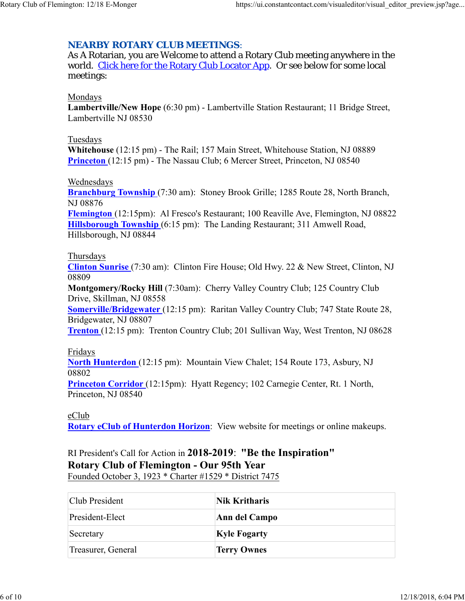### *NEARBY ROTARY CLUB MEETINGS:*

As A Rotarian, you are Welcome to attend a Rotary Club meeting anywhere in the world. Click here for the Rotary Club Locator App. Or see below for some local meetings:

#### Mondays

**Lambertville/New Hope** (6:30 pm) - Lambertville Station Restaurant; 11 Bridge Street, Lambertville NJ 08530

#### Tuesdays

**Whitehouse** (12:15 pm) - The Rail; 157 Main Street, Whitehouse Station, NJ 08889 **Princeton** (12:15 pm) - The Nassau Club; 6 Mercer Street, Princeton, NJ 08540

### Wednesdays

**Branchburg Township** (7:30 am): Stoney Brook Grille; 1285 Route 28, North Branch, NJ 08876

**Flemington** (12:15pm): Al Fresco's Restaurant; 100 Reaville Ave, Flemington, NJ 08822 **Hillsborough Township** (6:15 pm): The Landing Restaurant; 311 Amwell Road, Hillsborough, NJ 08844

#### Thursdays

**Clinton Sunrise** (7:30 am): Clinton Fire House; Old Hwy. 22 & New Street, Clinton, NJ 08809

**Montgomery/Rocky Hill** (7:30am): Cherry Valley Country Club; 125 Country Club Drive, Skillman, NJ 08558

**Somerville/Bridgewater** (12:15 pm): Raritan Valley Country Club; 747 State Route 28, Bridgewater, NJ 08807

**Trenton** (12:15 pm): Trenton Country Club; 201 Sullivan Way, West Trenton, NJ 08628

### Fridays

**North Hunterdon** (12:15 pm): Mountain View Chalet; 154 Route 173, Asbury, NJ 08802

**Princeton Corridor** (12:15pm): Hyatt Regency; 102 Carnegie Center, Rt. 1 North, Princeton, NJ 08540

#### eClub

**Rotary eClub of Hunterdon Horizon**: View website for meetings or online makeups.

# RI President's Call for Action in **2018-2019**: **"Be the Inspiration" Rotary Club of Flemington - Our 95th Year**

Founded October 3, 1923 \* Charter #1529 \* District 7475

| Club President     | Nik Kritharis       |
|--------------------|---------------------|
| President-Elect    | Ann del Campo       |
| Secretary          | <b>Kyle Fogarty</b> |
| Treasurer, General | <b>Terry Ownes</b>  |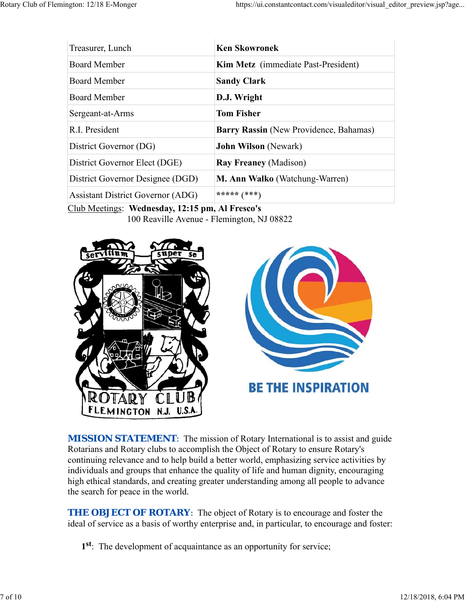| Treasurer, Lunch                         | <b>Ken Skowronek</b>                   |
|------------------------------------------|----------------------------------------|
| <b>Board Member</b>                      | Kim Metz (immediate Past-President)    |
| <b>Board Member</b>                      | <b>Sandy Clark</b>                     |
| Board Member                             | D.J. Wright                            |
| Sergeant-at-Arms                         | <b>Tom Fisher</b>                      |
| R.I. President                           | Barry Rassin (New Providence, Bahamas) |
| District Governor (DG)                   | <b>John Wilson</b> (Newark)            |
| District Governor Elect (DGE)            | <b>Ray Freaney (Madison)</b>           |
| District Governor Designee (DGD)         | M. Ann Walko (Watchung-Warren)         |
| <b>Assistant District Governor (ADG)</b> | ***** $(***)$                          |

Club Meetings: **Wednesday, 12:15 pm, Al Fresco's** 100 Reaville Avenue - Flemington, NJ 08822





**MISSION STATEMENT:** The mission of Rotary International is to assist and guide Rotarians and Rotary clubs to accomplish the Object of Rotary to ensure Rotary's continuing relevance and to help build a better world, emphasizing service activities by individuals and groups that enhance the quality of life and human dignity, encouraging high ethical standards, and creating greater understanding among all people to advance the search for peace in the world.

**THE OBJECT OF ROTARY:** The object of Rotary is to encourage and foster the ideal of service as a basis of worthy enterprise and, in particular, to encourage and foster:

**1st**: The development of acquaintance as an opportunity for service;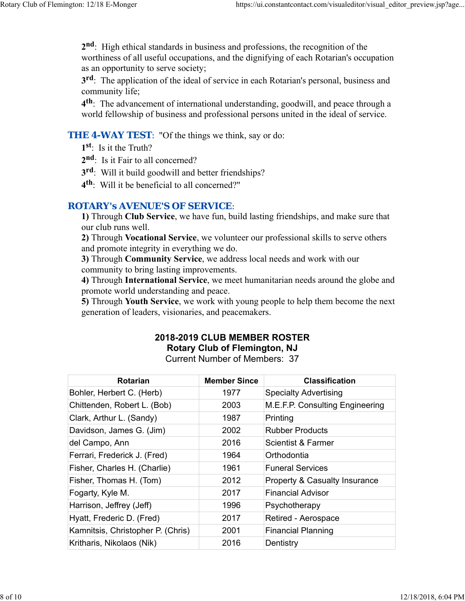**2nd**: High ethical standards in business and professions, the recognition of the worthiness of all useful occupations, and the dignifying of each Rotarian's occupation as an opportunity to serve society;

**3rd**: The application of the ideal of service in each Rotarian's personal, business and community life;

**4th**: The advancement of international understanding, goodwill, and peace through a world fellowship of business and professional persons united in the ideal of service.

### **THE 4-WAY TEST:** "Of the things we think, say or do:

- **1st**: Is it the Truth?
- 2<sup>nd</sup>: Is it Fair to all concerned?
- **3rd**: Will it build goodwill and better friendships?
- **4th**: Will it be beneficial to all concerned?"

### *ROTARY's AVENUE'S OF SERVICE*:

**1)** Through **Club Service**, we have fun, build lasting friendships, and make sure that our club runs well.

**2)** Through **Vocational Service**, we volunteer our professional skills to serve others and promote integrity in everything we do.

**3)** Through **Community Service**, we address local needs and work with our community to bring lasting improvements.

**4)** Through **International Service**, we meet humanitarian needs around the globe and promote world understanding and peace.

**5)** Through **Youth Service**, we work with young people to help them become the next generation of leaders, visionaries, and peacemakers.

# **2018-2019 CLUB MEMBER ROSTER Rotary Club of Flemington, NJ**

Current Number of Members: 37

| <b>Rotarian</b>                   | <b>Member Since</b> | <b>Classification</b>                    |
|-----------------------------------|---------------------|------------------------------------------|
| Bohler, Herbert C. (Herb)         | 1977                | <b>Specialty Advertising</b>             |
| Chittenden, Robert L. (Bob)       | 2003                | M.E.F.P. Consulting Engineering          |
| Clark, Arthur L. (Sandy)          | 1987                | Printing                                 |
| Davidson, James G. (Jim)          | 2002                | <b>Rubber Products</b>                   |
| del Campo, Ann                    | 2016                | Scientist & Farmer                       |
| Ferrari, Frederick J. (Fred)      | 1964                | Orthodontia                              |
| Fisher, Charles H. (Charlie)      | 1961                | <b>Funeral Services</b>                  |
| Fisher, Thomas H. (Tom)           | 2012                | <b>Property &amp; Casualty Insurance</b> |
| Fogarty, Kyle M.                  | 2017                | <b>Financial Advisor</b>                 |
| Harrison, Jeffrey (Jeff)          | 1996                | Psychotherapy                            |
| Hyatt, Frederic D. (Fred)         | 2017                | Retired - Aerospace                      |
| Kamnitsis, Christopher P. (Chris) | 2001                | <b>Financial Planning</b>                |
| Kritharis, Nikolaos (Nik)         | 2016                | Dentistry                                |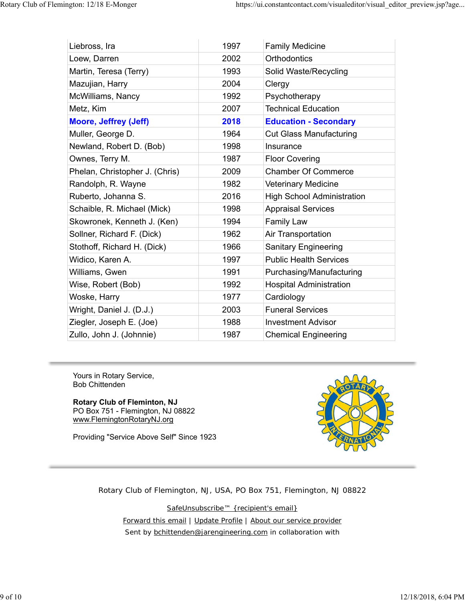| Liebross, Ira                  | 1997 | <b>Family Medicine</b>            |
|--------------------------------|------|-----------------------------------|
| Loew, Darren                   | 2002 | Orthodontics                      |
| Martin, Teresa (Terry)         | 1993 | Solid Waste/Recycling             |
| Mazujian, Harry                | 2004 | Clergy                            |
| McWilliams, Nancy              | 1992 | Psychotherapy                     |
| Metz, Kim                      | 2007 | <b>Technical Education</b>        |
| <b>Moore, Jeffrey (Jeff)</b>   | 2018 | <b>Education - Secondary</b>      |
| Muller, George D.              | 1964 | <b>Cut Glass Manufacturing</b>    |
| Newland, Robert D. (Bob)       | 1998 | Insurance                         |
| Ownes, Terry M.                | 1987 | <b>Floor Covering</b>             |
| Phelan, Christopher J. (Chris) | 2009 | <b>Chamber Of Commerce</b>        |
| Randolph, R. Wayne             | 1982 | <b>Veterinary Medicine</b>        |
| Ruberto, Johanna S.            | 2016 | <b>High School Administration</b> |
| Schaible, R. Michael (Mick)    | 1998 | <b>Appraisal Services</b>         |
| Skowronek, Kenneth J. (Ken)    | 1994 | <b>Family Law</b>                 |
| Sollner, Richard F. (Dick)     | 1962 | Air Transportation                |
| Stothoff, Richard H. (Dick)    | 1966 | <b>Sanitary Engineering</b>       |
| Widico, Karen A.               | 1997 | <b>Public Health Services</b>     |
| Williams, Gwen                 | 1991 | Purchasing/Manufacturing          |
| Wise, Robert (Bob)             | 1992 | <b>Hospital Administration</b>    |
| Woske, Harry                   | 1977 | Cardiology                        |
| Wright, Daniel J. (D.J.)       | 2003 | <b>Funeral Services</b>           |
| Ziegler, Joseph E. (Joe)       | 1988 | <b>Investment Advisor</b>         |
| Zullo, John J. (Johnnie)       | 1987 | <b>Chemical Engineering</b>       |

Yours in Rotary Service, Bob Chittenden

### **Rotary Club of Fleminton, NJ**

PO Box 751 - Flemington, NJ 08822 www.FlemingtonRotaryNJ.org

Providing "Service Above Self" Since 1923



Rotary Club of Flemington, NJ, USA, PO Box 751, Flemington, NJ 08822

SafeUnsubscribe™ {recipient's email}

Forward this email | Update Profile | About our service provider Sent by bchittenden@jarengineering.com in collaboration with